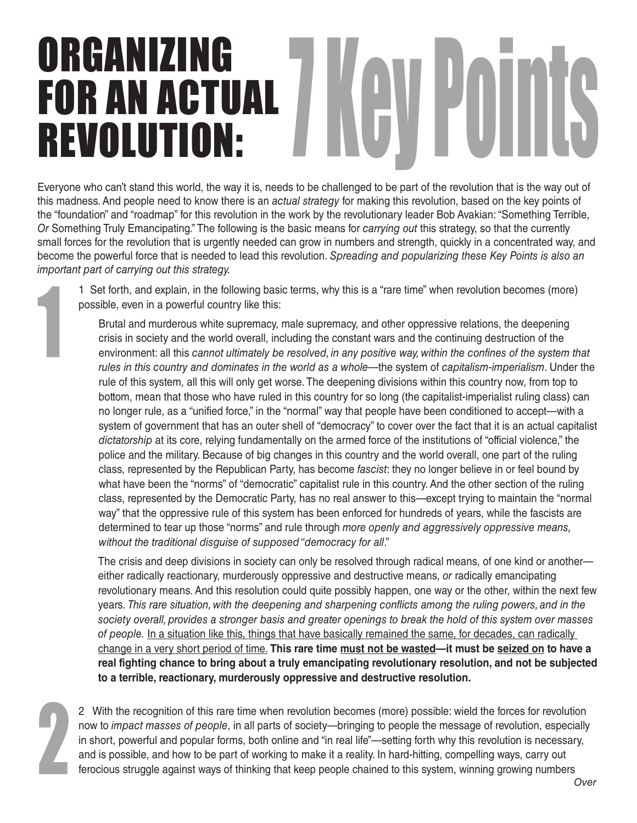## ORGANIZING FOR AN ACTUAL **REVOLUTION:**

Everyone who can't stand this world, the way it is, needs to be challenged to be part of the revolution that is the way out of this madness. And people need to know there is an *actual strategy* for making this revolution, based on the key points of the "foundation" and "roadmap" for this revolution in the work by the revolutionary leader Bob Avakian: "Something Terrible, *Or* Something Truly Emancipating." The following is the basic means for *carrying out* this strategy, so that the currently small forces for the revolution that is urgently needed can grow in numbers and strength, quickly in a concentrated way, and become the powerful force that is needed to lead this revolution. *Spreading and popularizing these Key Points is also an important part of carrying out this strategy.*

1 Set forth, and explain, in the following basic terms, why this is a "rare time" when revolution becomes (more) possible, even in a powerful country like this:

 Brutal and murderous white supremacy, male supremacy, and other oppressive relations, the deepening crisis in society and the world overall, including the constant wars and the continuing destruction of the environment: all this *cannot ultimately be resolved, in any positive way, within the confines of the system that rules in this country and dominates in the world as a whole*—the system of *capitalism-imperialism*. Under the rule of this system, all this will only get worse. The deepening divisions within this country now, from top to bottom, mean that those who have ruled in this country for so long (the capitalist-imperialist ruling class) can no longer rule, as a "unified force," in the "normal" way that people have been conditioned to accept—with a system of government that has an outer shell of "democracy" to cover over the fact that it is an actual capitalist *dictatorship* at its core, relying fundamentally on the armed force of the institutions of "official violence," the police and the military. Because of big changes in this country and the world overall, one part of the ruling class, represented by the Republican Party, has become *fascist*: they no longer believe in or feel bound by what have been the "norms" of "democratic" capitalist rule in this country. And the other section of the ruling class, represented by the Democratic Party, has no real answer to this—except trying to maintain the "normal way" that the oppressive rule of this system has been enforced for hundreds of years, while the fascists are determined to tear up those "norms" and rule through *more openly and aggressively oppressive means, without the traditional disguise of supposed "democracy for all*."

 The crisis and deep divisions in society can only be resolved through radical means, of one kind or another either radically reactionary, murderously oppressive and destructive means, *or* radically emancipating revolutionary means. And this resolution could quite possibly happen, one way or the other, within the next few years. *This rare situation, with the deepening and sharpening conflicts among the ruling powers, and in the society overall, provides a stronger basis and greater openings to break the hold of this system over masses of people.* In a situation like this, things that have basically remained the same, for decades, can radically change in a very short period of time. **This rare time must not be wasted—it must be seized on to have a real fighting chance to bring about a truly emancipating revolutionary resolution, and not be subjected to a terrible, reactionary, murderously oppressive and destructive resolution.**

2

1

2 With the recognition of this rare time when revolution becomes (more) possible: wield the forces for revolution now to *impact masses of people*, in all parts of society—bringing to people the message of revolution, especially in short, powerful and popular forms, both online and "in real life"—setting forth why this revolution is necessary, and is possible, and how to be part of working to make it a reality. In hard-hitting, compelling ways, carry out ferocious struggle against ways of thinking that keep people chained to this system, winning growing numbers